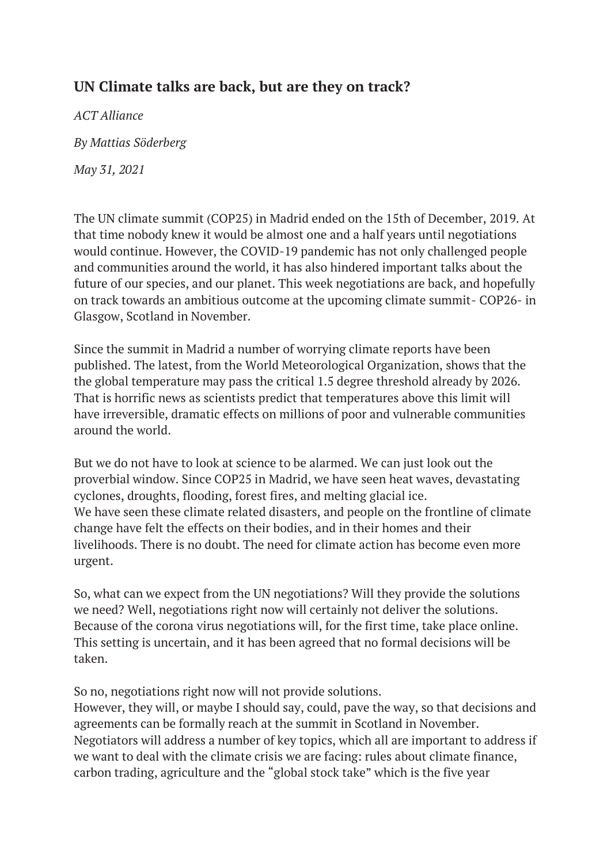## **UN Climate talks are back, but are they on track?**

*ACT Alliance By Mattias Söderberg* 

*May 31, 2021*

The UN climate summit (COP25) in Madrid ended on the 15th of December, 2019. At that time nobody knew it would be almost one and a half years until negotiations would continue. However, the COVID-19 pandemic has not only challenged people and communities around the world, it has also hindered important talks about the future of our species, and our planet. This week negotiations are back, and hopefully on track towards an ambitious outcome at the upcoming climate summit- COP26- in Glasgow, Scotland in November.

Since the summit in Madrid a number of worrying climate reports have been published. The latest, from the World Meteorological Organization, shows that the the global temperature may pass the critical 1.5 degree threshold already by 2026. That is horrific news as scientists predict that temperatures above this limit will have irreversible, dramatic effects on millions of poor and vulnerable communities around the world.

But we do not have to look at science to be alarmed. We can just look out the proverbial window. Since COP25 in Madrid, we have seen heat waves, devastating cyclones, droughts, flooding, forest fires, and melting glacial ice. We have seen these climate related disasters, and people on the frontline of climate change have felt the effects on their bodies, and in their homes and their livelihoods. There is no doubt. The need for climate action has become even more urgent.

So, what can we expect from the UN negotiations? Will they provide the solutions we need? Well, negotiations right now will certainly not deliver the solutions. Because of the corona virus negotiations will, for the first time, take place online. This setting is uncertain, and it has been agreed that no formal decisions will be taken.

So no, negotiations right now will not provide solutions.

However, they will, or maybe I should say, could, pave the way, so that decisions and agreements can be formally reach at the summit in Scotland in November. Negotiators will address a number of key topics, which all are important to address if we want to deal with the climate crisis we are facing: rules about climate finance, carbon trading, agriculture and the "global stock take" which is the five year